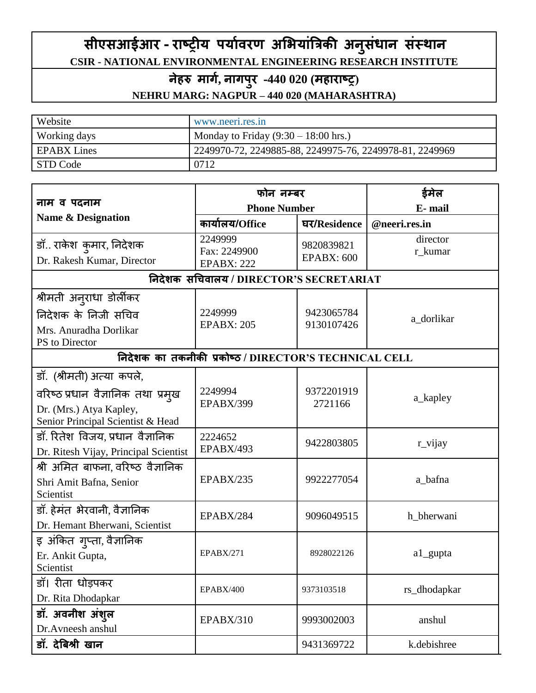# **सीएसआईआर - राष्ट्रीय पयाावरण अभियाांत्रिकी अन ुसांधान सांस्थान CSIR - NATIONAL ENVIRONMENTAL ENGINEERING RESEARCH INSTITUTE**

# **नेहरु मार्ा, नार्परु -440 020 (महाराष्ट्र(**

# **NEHRU MARG: NAGPUR – 440 020 (MAHARASHTRA)**

| Website            | www.neeri.res.in                                        |
|--------------------|---------------------------------------------------------|
| Working days       | Monday to Friday $(9:30 - 18:00$ hrs.)                  |
| <b>EPABX</b> Lines | 2249970-72, 2249885-88, 2249975-76, 2249978-81, 2249969 |
| STD Code           | 0712                                                    |

|                                                              | फोन नम्बर                                             |                                 | ईमेल                |
|--------------------------------------------------------------|-------------------------------------------------------|---------------------------------|---------------------|
| नाम व पदनाम                                                  | <b>Phone Number</b>                                   |                                 | E-mail              |
| <b>Name &amp; Designation</b>                                | कार्यालय/Office                                       | घर/Residence                    | @neeri.res.in       |
| डॉ राकेश  कुमार, निदेशक<br>Dr. Rakesh Kumar, Director        | 2249999<br>Fax: 2249900<br><b>EPABX: 222</b>          | 9820839821<br><b>EPABX: 600</b> | director<br>r_kumar |
|                                                              | निदेशक सचिवालय / DIRECTOR'S SECRETARIAT               |                                 |                     |
| श्रीमती अनुराधा डोर्लीकर                                     |                                                       |                                 |                     |
| निदेशक के निजी सचिव                                          | 2249999                                               | 9423065784                      | a_dorlikar          |
| Mrs. Anuradha Dorlikar                                       | <b>EPABX: 205</b>                                     | 9130107426                      |                     |
| PS to Director                                               | निदेशक का तकनीकी प्रकोष्ठ / DIRECTOR'S TECHNICAL CELL |                                 |                     |
|                                                              |                                                       |                                 |                     |
| डॉ. (श्रीमती) अत्या कपले,                                    |                                                       |                                 |                     |
| वरिष्ठ प्रधान वैज्ञानिक तथा प्रमुख                           | 2249994                                               | 9372201919                      | a_kapley            |
| Dr. (Mrs.) Atya Kapley,<br>Senior Principal Scientist & Head | EPABX/399                                             | 2721166                         |                     |
| डॉ. रितेश विजय, प्रधान वैज्ञानिक                             | 2224652                                               |                                 |                     |
| Dr. Ritesh Vijay, Principal Scientist                        | EPABX/493                                             | 9422803805                      | r_vijay             |
| श्री अमित बाफना, वरिष्ठ वैज्ञानिक                            |                                                       |                                 |                     |
| Shri Amit Bafna, Senior                                      | <b>EPABX/235</b>                                      | 9922277054                      | a_bafna             |
| Scientist                                                    |                                                       |                                 |                     |
| डॉ. हेमंत भेरवानी, वैज्ञानिक                                 | EPABX/284                                             | 9096049515                      | h_bherwani          |
| Dr. Hemant Bherwani, Scientist                               |                                                       |                                 |                     |
| इ अंकित ग्प्ता, वैज्ञानिक                                    |                                                       |                                 |                     |
| Er. Ankit Gupta,                                             | EPABX/271                                             | 8928022126                      | a1_gupta            |
| Scientist                                                    |                                                       |                                 |                     |
| डॉ। रीता धोड़पकर                                             | EPABX/400                                             | 9373103518                      | rs_dhodapkar        |
| Dr. Rita Dhodapkar                                           |                                                       |                                 |                     |
| डॉ. अवनीश अंश्ल                                              | EPABX/310                                             | 9993002003                      | anshul              |
| Dr.Avneesh anshul                                            |                                                       |                                 |                     |
| डॉ. देबिश्री खान                                             |                                                       | 9431369722                      | k.debishree         |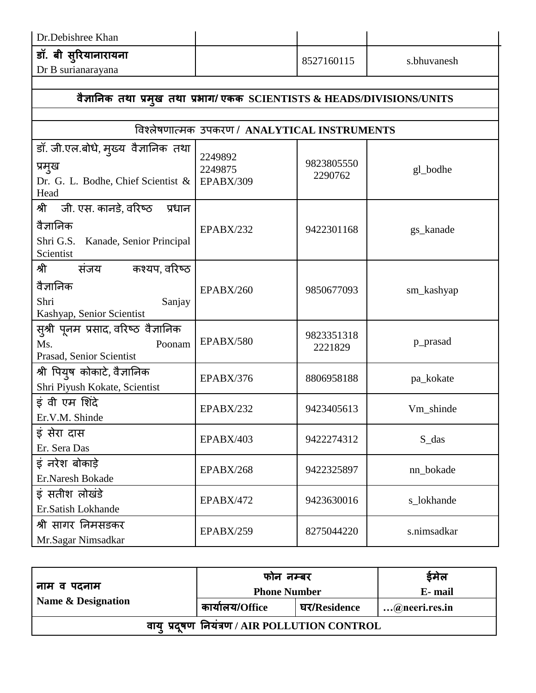| Dr.Debishree Khan                          |            |             |
|--------------------------------------------|------------|-------------|
| डॉ. बी सुरियानारायना<br>Dr B surianarayana | 8527160115 | s.bhuvanesh |

#### **वैज्ञाननक तथा प्रमुख तथा प्रिार्/ एकक SCIENTISTS & HEADS/DIVISIONS/UNITS** ववश्र्लेषणात्मक उपकरण / **ANALYTICAL INSTRUMENTS** डॉ. जी.एल.बोधे, मुख्य वैज्ञानिक तथा प्रमुख Dr. G. L. Bodhe, Chief Scientist & Head 2249892 2249875 EPABX/309 9823805550  $2290762$  gl\_bodhe श्री जी. एस. कानडे, वरिष्ठ प्रधान वैज्ञानिक Shri G.S. Kanade, Senior Principal Scientist EPABX/232 9422301168 gs\_kanade श्री संजय कश्यप,वरिष्ठ वैज्ञानिक Shri Sanjay Kashyap, Senior Scientist EPABX/260 9850677093 sm\_kashyap सुश्री पूनम प्रसाद, वरिष्ठ वैज्ञानिक Ms. Poonam Prasad, Senior Scientist EPABX/580 9823351318<br>2221829 p\_prasad श्री वपयुष कोकाटे, वैज्ञानिक Shri Piyush Kokate, Scientist EPABX/376 | 8806958188 | pa\_kokate इं वी एम मशदं े Er.V.M. Shinde EPABX/232 9423405613 Vm\_shinde इं सेरा दास Er. Sera Das EPABX/403 9422274312 S\_das इं िरेश बोकाड़े Er.Naresh Bokade EPABX/268 9422325897 nn\_bokade इं सतीश र्लोखंडे Er.Satish Lokhande EPABX/472 | 9423630016 | s\_lokhande श्री सागर निमसडकर Mr.Sagar Nimsadkar EPABX/259 | 8275044220 | s.nimsadkar

| नाम व पदनाम<br>Name & Designation             | फोन नम्बर           |              | ईमेल          |
|-----------------------------------------------|---------------------|--------------|---------------|
|                                               | <b>Phone Number</b> |              | E-mail        |
|                                               | कार्यालय/Office     | घर/Residence | @neeri.res.in |
| वाय् प्रदुषण नियंत्रण / AIR POLLUTION CONTROL |                     |              |               |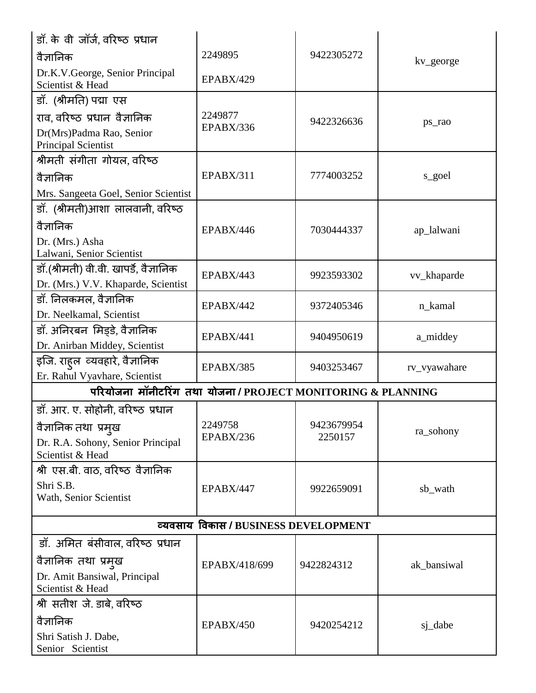| ड़ॉ. के वी जॉर्ज, वरिष्ठ प्रधान                            |                  |            |              |  |
|------------------------------------------------------------|------------------|------------|--------------|--|
| वैज्ञानिक                                                  | 2249895          | 9422305272 | kv_george    |  |
| Dr.K.V.George, Senior Principal<br>Scientist & Head        | <b>EPABX/429</b> |            |              |  |
| डॉ. (श्रीमति) पद्मा एस                                     |                  |            |              |  |
| राव, वरिष्ठ प्रधान वैज्ञानिक                               | 2249877          | 9422326636 | ps_rao       |  |
| Dr(Mrs)Padma Rao, Senior<br><b>Principal Scientist</b>     | EPABX/336        |            |              |  |
| श्रीमती संगीता गोयल, वरिष्ठ                                |                  |            |              |  |
| वैज्ञानिक                                                  | EPABX/311        | 7774003252 | s_goel       |  |
| Mrs. Sangeeta Goel, Senior Scientist                       |                  |            |              |  |
| डॉ. (श्रीमती)आशा लालवानी, वरिष्ठ                           |                  |            |              |  |
| वैज्ञानिक                                                  | <b>EPABX/446</b> | 7030444337 | ap_lalwani   |  |
| Dr. (Mrs.) Asha                                            |                  |            |              |  |
| Lalwani, Senior Scientist                                  |                  |            |              |  |
| डॉ.(श्रीमती) वी.वी. खापर्डे, वैज्ञानिक                     | EPABX/443        | 9923593302 | vv_khaparde  |  |
| Dr. (Mrs.) V.V. Khaparde, Scientist                        |                  |            |              |  |
| डॉ. निलकमल, वैज्ञानिक                                      | <b>EPABX/442</b> | 9372405346 | n_kamal      |  |
| Dr. Neelkamal, Scientist                                   |                  |            |              |  |
| डॉ. अनिरबन  मिड्डे, वैज्ञानिक                              | EPABX/441        | 9404950619 | a_middey     |  |
| Dr. Anirban Middey, Scientist                              |                  |            |              |  |
| इजि. राह्ल व्यवहारे, वैज्ञानिक                             | EPABX/385        | 9403253467 | rv_vyawahare |  |
| Er. Rahul Vyavhare, Scientist                              |                  |            |              |  |
| परियोजना मॉनीटरिंग तथा योजना/PROJECT MONITORING & PLANNING |                  |            |              |  |
| डॉ. आर. ए. सोहोनी, वरिष्ठ प्रधान                           |                  |            |              |  |
| वैज्ञानिक तथा प्रमुख                                       | 2249758          | 9423679954 | ra_sohony    |  |
| Dr. R.A. Sohony, Senior Principal<br>Scientist & Head      | EPABX/236        | 2250157    |              |  |
| श्री एस.बी. वाठ, वरिष्ठ वैज्ञानिक                          |                  |            |              |  |
| Shri S.B.<br>Wath, Senior Scientist                        | <b>EPABX/447</b> | 9922659091 | sb_wath      |  |
| व्यवसाय विकास / BUSINESS DEVELOPMENT                       |                  |            |              |  |
| डॉ. अमित बंसीवाल, वरिष्ठ प्रधान                            |                  |            |              |  |
| वैज्ञानिक तथा प्रमुख                                       |                  |            |              |  |
| Dr. Amit Bansiwal, Principal                               | EPABX/418/699    | 9422824312 | ak_bansiwal  |  |
| Scientist & Head                                           |                  |            |              |  |
| श्री सतीश जे. डाबे, वरिष्ठ                                 |                  |            |              |  |
| वैज्ञानिक                                                  | <b>EPABX/450</b> | 9420254212 | sj_dabe      |  |
| Shri Satish J. Dabe,                                       |                  |            |              |  |
| Senior Scientist                                           |                  |            |              |  |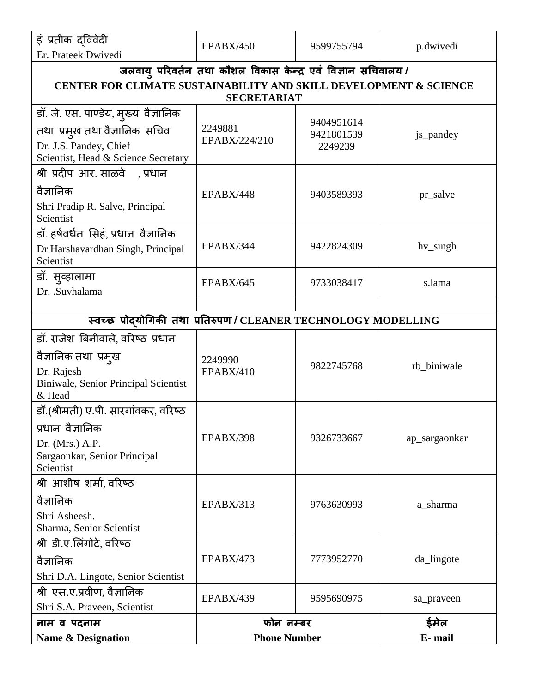इं प्रतीक द्वववेदी

| Er. Prateek Dwivedi                                               |                     |            |               |
|-------------------------------------------------------------------|---------------------|------------|---------------|
| जलवायु परिवर्तन तथा कौशल विकास केन्द्र एवं विज्ञान सचिवालय /      |                     |            |               |
| CENTER FOR CLIMATE SUSTAINABILITY AND SKILL DEVELOPMENT & SCIENCE |                     |            |               |
|                                                                   | <b>SECRETARIAT</b>  |            |               |
| डॉ. जे. एस. पाण्डेय, मुख्य वैज्ञानिक                              |                     | 9404951614 |               |
| तथा प्रमुख तथा वैज्ञानिक सचिव                                     | 2249881             | 9421801539 | js_pandey     |
| Dr. J.S. Pandey, Chief                                            | EPABX/224/210       | 2249239    |               |
| Scientist, Head & Science Secretary                               |                     |            |               |
| श्री प्रदीप आर. साळवे   , प्रधान                                  |                     |            |               |
| वैज्ञानिक                                                         | EPABX/448           | 9403589393 | pr_salve      |
| Shri Pradip R. Salve, Principal<br>Scientist                      |                     |            |               |
| डॉ. हर्षवर्धन सिहं, प्रधान वैज्ञानिक                              |                     |            |               |
| Dr Harshavardhan Singh, Principal                                 | EPABX/344           | 9422824309 | hv_singh      |
| Scientist                                                         |                     |            |               |
| डॉ. सुव्हालामा                                                    |                     |            |               |
| Dr. .Suvhalama                                                    | EPABX/645           | 9733038417 | s.lama        |
|                                                                   |                     |            |               |
| स्वच्छ प्रोदयोगिकी तथा प्रतिरुपण / CLEANER TECHNOLOGY MODELLING   |                     |            |               |
| डॉ. राजेश बिनीवाले, वरिष्ठ प्रधान                                 |                     |            |               |
| वैज्ञानिक तथा प्रमुख                                              | 2249990             |            |               |
| Dr. Rajesh                                                        | <b>EPABX/410</b>    | 9822745768 | rb_biniwale   |
| Biniwale, Senior Principal Scientist                              |                     |            |               |
| & Head                                                            |                     |            |               |
| डॉ.(श्रीमती) ए.पी. सारगांवकर, वरिष्ठ                              |                     |            |               |
| प्रधान वैज्ञानिक                                                  |                     |            |               |
| Dr. (Mrs.) $A.P.$                                                 | EPABX/398           | 9326733667 | ap_sargaonkar |
| Sargaonkar, Senior Principal<br>Scientist                         |                     |            |               |
| श्री आशीष शर्मा, वरिष्ठ                                           |                     |            |               |
| वैज्ञानिक                                                         |                     |            |               |
| Shri Asheesh.                                                     | EPABX/313           | 9763630993 | a_sharma      |
| Sharma, Senior Scientist                                          |                     |            |               |
| श्री डी.ए.लिंगोटे, वरिष्ठ                                         |                     |            |               |
| वैज्ञानिक                                                         | <b>EPABX/473</b>    | 7773952770 | da_lingote    |
| Shri D.A. Lingote, Senior Scientist                               |                     |            |               |
| श्री एस.ए.प्रवीण, वैज्ञानिक                                       | EPABX/439           | 9595690975 | sa_praveen    |
| Shri S.A. Praveen, Scientist                                      |                     |            |               |
| नाम व पदनाम                                                       | फोन नम्बर           |            | ईमेल          |
| <b>Name &amp; Designation</b>                                     | <b>Phone Number</b> |            | E-mail        |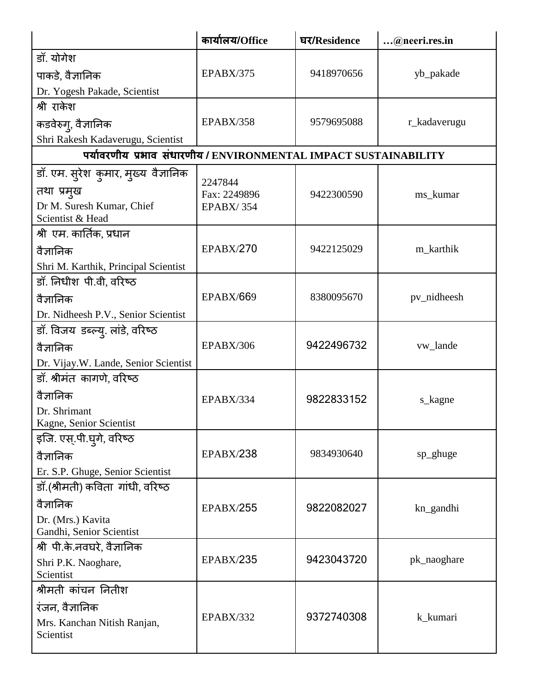|                                                                  | कार्यालय/Office         | घर/Residence | @neeri.res.in |
|------------------------------------------------------------------|-------------------------|--------------|---------------|
| डॉ. योगेश                                                        |                         |              |               |
| पाकडे, वैज्ञानिक                                                 | EPABX/375               | 9418970656   | yb_pakade     |
| Dr. Yogesh Pakade, Scientist                                     |                         |              |               |
| श्री राकेश                                                       |                         |              |               |
| कडवेरुग्, वैज्ञानिक                                              | EPABX/358               | 9579695088   | r_kadaverugu  |
| Shri Rakesh Kadaverugu, Scientist                                |                         |              |               |
| पर्यावरणीय प्रभाव संधारणीय / ENVIRONMENTAL IMPACT SUSTAINABILITY |                         |              |               |
| डॉ. एम. सुरेश  कुमार, मुख्य  वैज्ञानिक                           |                         |              |               |
| तथा प्रमुख                                                       | 2247844<br>Fax: 2249896 | 9422300590   | ms_kumar      |
| Dr M. Suresh Kumar, Chief<br>Scientist & Head                    | <b>EPABX/354</b>        |              |               |
| श्री एम. कार्तिक, प्रधान                                         |                         |              |               |
| वैज्ञानिक                                                        | <b>EPABX/270</b>        | 9422125029   | m_karthik     |
| Shri M. Karthik, Principal Scientist                             |                         |              |               |
| डॉ. निधीश पी.वी, वरिष्ठ                                          |                         |              |               |
| वैज्ञानिक                                                        | <b>EPABX/669</b>        | 8380095670   | pv_nidheesh   |
| Dr. Nidheesh P.V., Senior Scientist                              |                         |              |               |
| डॉ. विजय डब्ल्यु. लांडे, वरिष्ठ                                  |                         |              |               |
| वैज्ञानिक                                                        | EPABX/306               | 9422496732   | vw_lande      |
| Dr. Vijay.W. Lande, Senior Scientist                             |                         |              |               |
| डॉ. श्रीमंत कागणे, वरिष्ठ                                        |                         |              |               |
| वैज्ञानिक                                                        | EPABX/334               | 9822833152   | s_kagne       |
| Dr. Shrimant                                                     |                         |              |               |
| Kagne, Senior Scientist                                          |                         |              |               |
| इजि. एस्.पी.घुगे, वरिष्ठ                                         |                         |              |               |
| वैज्ञानिक                                                        | <b>EPABX/238</b>        | 9834930640   | sp_ghuge      |
| Er. S.P. Ghuge, Senior Scientist                                 |                         |              |               |
| डॉ.(श्रीमती) कविता गांधी, वरिष्ठ                                 |                         |              |               |
| वैज्ञानिक                                                        | <b>EPABX/255</b>        | 9822082027   | kn_gandhi     |
| Dr. (Mrs.) Kavita<br>Gandhi, Senior Scientist                    |                         |              |               |
| श्री पी.के.नवघरे, वैज्ञानिक                                      |                         |              |               |
| Shri P.K. Naoghare,                                              | <b>EPABX/235</b>        | 9423043720   | pk_naoghare   |
| Scientist                                                        |                         |              |               |
| श्रीमती कांचन नितीश                                              |                         |              |               |
| रंजन, वैज्ञानिक                                                  |                         |              |               |
| Mrs. Kanchan Nitish Ranjan,<br>Scientist                         | EPABX/332               | 9372740308   | k_kumari      |
|                                                                  |                         |              |               |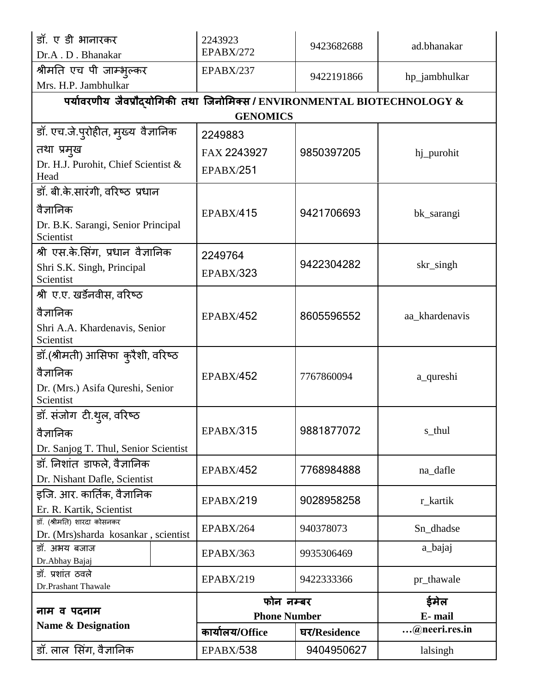| डॉ. ए डी भानारकर<br>Dr.A.D. Bhanakar                                    | 2243923<br><b>EPABX/272</b> | 9423682688   | ad.bhanakar    |
|-------------------------------------------------------------------------|-----------------------------|--------------|----------------|
| श्रीमति एच पी जाम्भुल्कर                                                | EPABX/237                   |              |                |
| Mrs. H.P. Jambhulkar                                                    |                             | 9422191866   | hp_jambhulkar  |
| पर्यावरणीय जैवप्रौदयोगिकी तथा जिनोमिक्स / ENVIRONMENTAL BIOTECHNOLOGY & |                             |              |                |
|                                                                         | <b>GENOMICS</b>             |              |                |
| डॉ. एच.जे.प्रोहीत, मुख्य वैज्ञानिक                                      | 2249883                     |              |                |
| तथा प्रमुख                                                              | FAX 2243927                 | 9850397205   | hj_purohit     |
| Dr. H.J. Purohit, Chief Scientist &<br>Head                             | <b>EPABX/251</b>            |              |                |
| डॉ. बी.के.सारंगी, वरिष्ठ प्रधान                                         |                             |              |                |
| वैज्ञानिक                                                               | <b>EPABX/415</b>            | 9421706693   | bk_sarangi     |
| Dr. B.K. Sarangi, Senior Principal<br>Scientist                         |                             |              |                |
| श्री एस.के.सिंग, प्रधान वैज्ञानिक                                       | 2249764                     |              |                |
| Shri S.K. Singh, Principal                                              | <b>EPABX/323</b>            | 9422304282   | skr_singh      |
| Scientist                                                               |                             |              |                |
| श्री ए.ए. खर्डेनवीस, वरिष्ठ                                             |                             |              |                |
| वैज्ञानिक                                                               | <b>EPABX/452</b>            | 8605596552   | aa_khardenavis |
| Shri A.A. Khardenavis, Senior<br>Scientist                              |                             |              |                |
| डॉ.(श्रीमती) आसिफा  कुरैशी, वरिष्ठ                                      |                             |              |                |
| वैज्ञानिक                                                               | <b>EPABX/452</b>            | 7767860094   | a_qureshi      |
| Dr. (Mrs.) Asifa Qureshi, Senior<br>Scientist                           |                             |              |                |
| डॉ. संजोग टी.थुल, वरिष्ठ                                                |                             |              |                |
| वैज्ञानिक                                                               | <b>EPABX/315</b>            | 9881877072   | s_thul         |
| Dr. Sanjog T. Thul, Senior Scientist                                    |                             |              |                |
| डॉ. निशांत डाफले, वैज्ञानिक                                             |                             |              |                |
| Dr. Nishant Dafle, Scientist                                            | <b>EPABX/452</b>            | 7768984888   | na_dafle       |
| इजि. आर. कार्तिक, वैज्ञानिक                                             |                             |              |                |
| Er. R. Kartik, Scientist                                                | <b>EPABX/219</b>            | 9028958258   | r_kartik       |
| डॉ. (श्रीमति) शारदा कोसनकर                                              | EPABX/264                   | 940378073    | Sn_dhadse      |
| Dr. (Mrs)sharda kosankar, scientist<br>डॉ. अभय बजाज                     |                             |              | a_bajaj        |
| Dr.Abhay Bajaj                                                          | EPABX/363                   | 9935306469   |                |
| डॉ. प्रशांत ठवले                                                        | <b>EPABX/219</b>            | 9422333366   | pr_thawale     |
| Dr.Prashant Thawale                                                     |                             |              |                |
| नाम व पदनाम                                                             | फोन नम्बर                   | ईमेल         |                |
| <b>Name &amp; Designation</b>                                           | <b>Phone Number</b>         |              | E-mail         |
|                                                                         | कार्यालय/Office             | घर/Residence | @neeri.res.in  |
| डॉ. लाल सिंग, वैज्ञानिक                                                 | EPABX/538                   | 9404950627   | lalsingh       |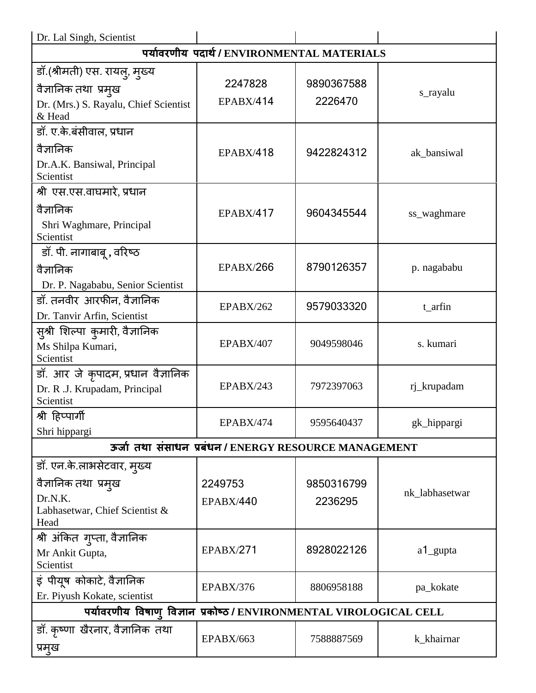| Dr. Lal Singh, Scientist                                            |                                                       |            |                |
|---------------------------------------------------------------------|-------------------------------------------------------|------------|----------------|
|                                                                     | पर्यावरणीय पदार्थ/ENVIRONMENTAL MATERIALS             |            |                |
| डॉ.(श्रीमती) एस. रायलु, मुख्य                                       |                                                       |            |                |
| वैज्ञानिक तथा प्रमुख                                                | 2247828                                               | 9890367588 | s_rayalu       |
| Dr. (Mrs.) S. Rayalu, Chief Scientist<br>& Head                     | <b>EPABX/414</b>                                      | 2226470    |                |
| डॉ. ए.के.बंसीवाल, प्रधान                                            |                                                       |            |                |
| वैज्ञानिक                                                           | <b>EPABX/418</b>                                      | 9422824312 | ak_bansiwal    |
| Dr.A.K. Bansiwal, Principal<br>Scientist                            |                                                       |            |                |
| श्री एस.एस.वाघमारे, प्रधान                                          |                                                       |            |                |
| वैज्ञानिक                                                           | <b>EPABX/417</b>                                      | 9604345544 | ss_waghmare    |
| Shri Waghmare, Principal<br>Scientist                               |                                                       |            |                |
| डॉ. पी. नागाबाबू , वरिष्ठ                                           |                                                       |            |                |
| वैज्ञानिक                                                           | <b>EPABX/266</b>                                      | 8790126357 | p. nagababu    |
| Dr. P. Nagababu, Senior Scientist                                   |                                                       |            |                |
| डॉ. तनवीर आरफीन, वैज्ञानिक                                          | <b>EPABX/262</b>                                      | 9579033320 | t_arfin        |
| Dr. Tanvir Arfin, Scientist                                         |                                                       |            |                |
| स़्श्री शिल्पा कुमारी, वैज्ञानिक                                    |                                                       |            |                |
| Ms Shilpa Kumari,                                                   | <b>EPABX/407</b>                                      | 9049598046 | s. kumari      |
| Scientist                                                           |                                                       |            |                |
| डॉ. आर जे कृपादम, प्रधान वैज्ञानिक                                  | EPABX/243                                             | 7972397063 | rj_krupadam    |
| Dr. R .J. Krupadam, Principal<br>Scientist                          |                                                       |            |                |
| श्री हिप्पार्गी                                                     | <b>EPABX/474</b>                                      | 9595640437 | gk_hippargi    |
| Shri hippargi                                                       |                                                       |            |                |
|                                                                     | ऊर्जा तथा संसाधन प्रबंधन / ENERGY RESOURCE MANAGEMENT |            |                |
| डॉ. एन.के.लाभसेटवार, मुख्य                                          |                                                       |            |                |
| वैज्ञानिक तथा प्रम्ख                                                | 2249753                                               | 9850316799 |                |
| Dr.N.K.                                                             | <b>EPABX/440</b>                                      | 2236295    | nk_labhasetwar |
| Labhasetwar, Chief Scientist &<br>Head                              |                                                       |            |                |
| श्री अंकित ग्प्ता, वैज्ञानिक                                        |                                                       |            |                |
| Mr Ankit Gupta,                                                     | <b>EPABX/271</b>                                      | 8928022126 | a1_gupta       |
| Scientist                                                           |                                                       |            |                |
| इं पीयूष कोकाटे, वैज्ञानिक                                          | EPABX/376                                             | 8806958188 | pa_kokate      |
| Er. Piyush Kokate, scientist                                        |                                                       |            |                |
| पर्यावरणीय विषाण् विज्ञान प्रकोष्ठ / ENVIRONMENTAL VIROLOGICAL CELL |                                                       |            |                |
| डॉ. कृष्णा खैरनार, वैज्ञानिक तथा                                    |                                                       |            |                |
| प्रमुख                                                              | EPABX/663                                             | 7588887569 | k_khairnar     |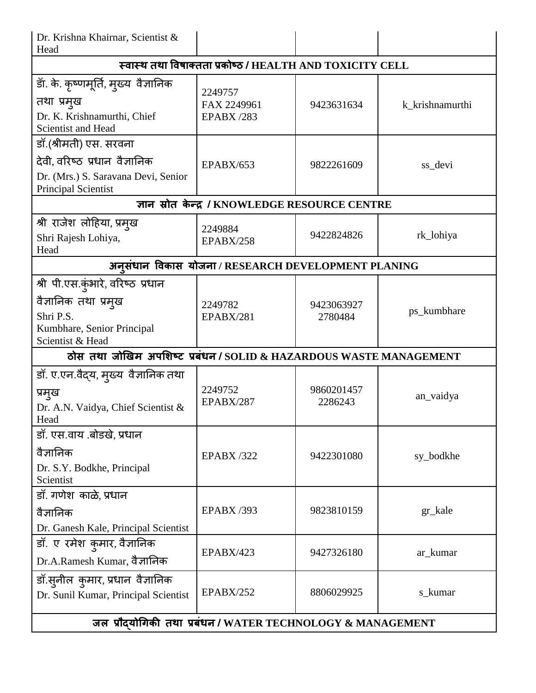| Dr. Krishna Khairnar, Scientist &<br>Head                                                                                    |                                                           |                       |                 |
|------------------------------------------------------------------------------------------------------------------------------|-----------------------------------------------------------|-----------------------|-----------------|
|                                                                                                                              | स्वास्थ तथा विषाक्तता प्रकोष्ठ / HEALTH AND TOXICITY CELL |                       |                 |
| डॉ. के. कृष्णमूर्ति, मुख्य वैज्ञानिक<br>तथा प्रमुख<br>Dr. K. Krishnamurthi, Chief<br>Scientist and Head                      | 2249757<br>FAX 2249961<br><b>EPABX /283</b>               | 9423631634            | k_krishnamurthi |
| डॉ.(श्रीमती) एस. सरवना<br>देवी, वरिष्ठ प्रधान वैज्ञानिक<br>Dr. (Mrs.) S. Saravana Devi, Senior<br><b>Principal Scientist</b> | <b>EPABX/653</b>                                          | 9822261609            | ss_devi         |
|                                                                                                                              | ज्ञान स्रोत केन्द्र / KNOWLEDGE RESOURCE CENTRE           |                       |                 |
| श्री राजेश लोहिया, प्रमुख<br>Shri Rajesh Lohiya,<br>Head                                                                     | 2249884<br>EPABX/258                                      | 9422824826            | rk_lohiya       |
|                                                                                                                              | अनुसंधान विकास योजना / RESEARCH DEVELOPMENT PLANING       |                       |                 |
| श्री पी.एस.कुंभारे, वरिष्ठ प्रधान<br>वैज्ञानिक तथा प्रमुख<br>Shri P.S.<br>Kumbhare, Senior Principal<br>Scientist & Head     | 2249782<br>EPABX/281                                      | 9423063927<br>2780484 | ps_kumbhare     |
| ठोस तथा जोखिम अपशिष्ट प्रबंधन / SOLID & HAZARDOUS WASTE MANAGEMENT                                                           |                                                           |                       |                 |
| डॉ. ए.एन.वैद्य, मुख्य  वैज्ञानिक तथा<br>प्रमुख<br>Dr. A.N. Vaidya, Chief Scientist &<br>Head                                 | 2249752<br><b>EPABX/287</b>                               | 9860201457<br>2286243 | an_vaidya       |
| डॉ. एस.वाय .बोडखे, प्रधान<br>वैज्ञानिक<br>Dr. S.Y. Bodkhe, Principal<br>Scientist                                            | <b>EPABX /322</b>                                         | 9422301080            | sy_bodkhe       |
| डॉ. गणेश काळे, प्रधान<br>वैज्ञानिक<br>Dr. Ganesh Kale, Principal Scientist                                                   | <b>EPABX /393</b>                                         | 9823810159            | gr_kale         |
| डॉ. ए रमेश कुमार, वैज्ञानिक<br>Dr.A.Ramesh Kumar, वैज्ञानिक                                                                  | <b>EPABX/423</b>                                          | 9427326180            | ar_kumar        |
| डॉ.सुनील कुमार, प्रधान वैज्ञानिक<br>Dr. Sunil Kumar, Principal Scientist                                                     | <b>EPABX/252</b>                                          | 8806029925            | s_kumar         |
| जल प्रौद्योगिकी तथा प्रबंधन / WATER TECHNOLOGY & MANAGEMENT                                                                  |                                                           |                       |                 |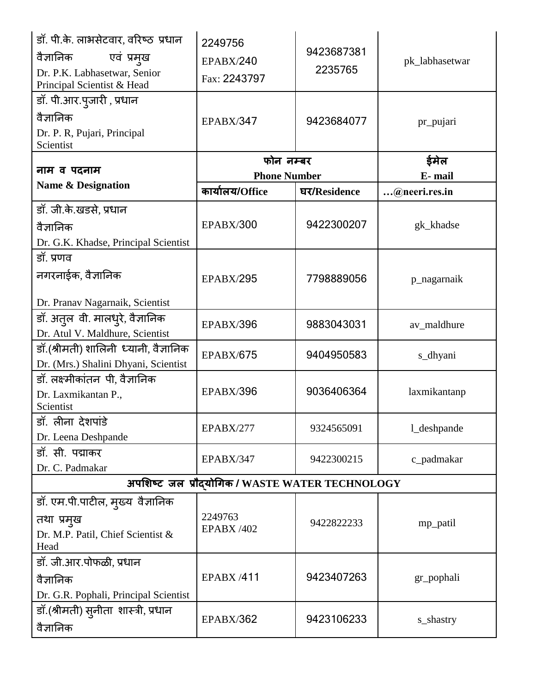| डॉ. पी.के. लाभसेटवार, वरिष्ठ प्रधान<br>एवं प्रमुख<br>वैज्ञानिक<br>Dr. P.K. Labhasetwar, Senior<br>Principal Scientist & Head<br>डॉ. पी.आर.पुजारी , प्रधान<br>वैज्ञानिक | 2249756<br><b>EPABX/240</b><br>Fax: 2243797<br><b>EPABX/347</b> | 9423687381<br>2235765<br>9423684077 | pk_labhasetwar<br>pr_pujari |
|------------------------------------------------------------------------------------------------------------------------------------------------------------------------|-----------------------------------------------------------------|-------------------------------------|-----------------------------|
| Dr. P. R, Pujari, Principal<br>Scientist                                                                                                                               |                                                                 |                                     |                             |
| नाम व पदनाम                                                                                                                                                            | फोन नम्बर<br><b>Phone Number</b>                                |                                     | ईमेल<br>E-mail              |
| <b>Name &amp; Designation</b>                                                                                                                                          | कार्यालय/Office                                                 | घर/Residence                        | @neeri.res.in               |
| डॉ. जी.के.खडसे, प्रधान<br>वैज्ञानिक<br>Dr. G.K. Khadse, Principal Scientist                                                                                            | <b>EPABX/300</b>                                                | 9422300207                          | gk_khadse                   |
| डॉ. प्रणव<br>नगरनाईक, वैज्ञानिक                                                                                                                                        | <b>EPABX/295</b>                                                | 7798889056                          | p_nagarnaik                 |
| Dr. Pranav Nagarnaik, Scientist<br>डॉ. अत्तल वी. मालध़्रे, वैज्ञानिक<br>Dr. Atul V. Maldhure, Scientist                                                                | EPABX/396                                                       | 9883043031                          | av_maldhure                 |
| डॉ.(श्रीमती) शालिनी ध्यानी, वैज्ञानिक<br>Dr. (Mrs.) Shalini Dhyani, Scientist                                                                                          | <b>EPABX/675</b>                                                | 9404950583                          | s_dhyani                    |
| डॉ. लक्ष्मीकांतन पी, वैज्ञानिक<br>Dr. Laxmikantan P.,<br>Scientist                                                                                                     | EPABX/396                                                       | 9036406364                          | laxmikantanp                |
| डॉ. लीना देशपांडे<br>Dr. Leena Deshpande                                                                                                                               | EPABX/277                                                       | 9324565091                          | l_deshpande                 |
| डॉ. सी. पद्माकर<br>Dr. C. Padmakar                                                                                                                                     | EPABX/347                                                       | 9422300215                          | c_padmakar                  |
|                                                                                                                                                                        | अपशिष्ट जल प्रौदयोगिक / WASTE WATER TECHNOLOGY                  |                                     |                             |
| डॉ. एम.पी.पाटील, मुख्य वैज्ञानिक<br>तथा प्रमुख<br>Dr. M.P. Patil, Chief Scientist &<br>Head                                                                            | 2249763<br><b>EPABX /402</b>                                    | 9422822233                          | mp_patil                    |
| डॉ. जी.आर.पोफळी, प्रधान<br>वैज्ञानिक<br>Dr. G.R. Pophali, Principal Scientist                                                                                          | <b>EPABX/411</b>                                                | 9423407263                          | gr_pophali                  |
| डॉ.(श्रीमती) स्नीता शास्त्री, प्रधान<br>वैज्ञानिक                                                                                                                      | <b>EPABX/362</b>                                                | 9423106233                          | s_shastry                   |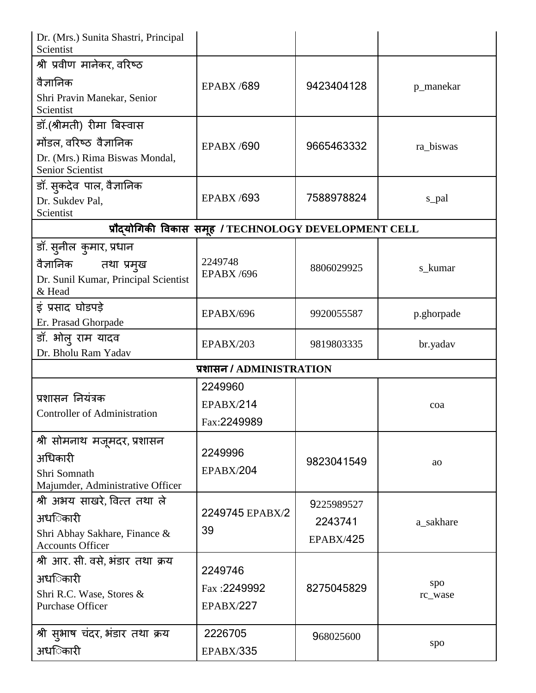| Dr. (Mrs.) Sunita Shastri, Principal<br>Scientist        |                                                      |                  |            |
|----------------------------------------------------------|------------------------------------------------------|------------------|------------|
| श्री प्रवीण मानेकर, वरिष्ठ                               |                                                      |                  |            |
| वैज्ञानिक                                                | <b>EPABX /689</b>                                    | 9423404128       | p_manekar  |
| Shri Pravin Manekar, Senior<br>Scientist                 |                                                      |                  |            |
| डॉ.(श्रीमती) रीमा बिस्वास                                |                                                      |                  |            |
| मोंडल, वरिष्ठ वैज्ञानिक                                  | <b>EPABX/690</b>                                     | 9665463332       | ra_biswas  |
| Dr. (Mrs.) Rima Biswas Mondal,<br>Senior Scientist       |                                                      |                  |            |
| डॉ. स्कदेव पाल, वैज्ञानिक                                |                                                      |                  |            |
| Dr. Sukdev Pal,<br>Scientist                             | <b>EPABX /693</b>                                    | 7588978824       | s_pal      |
|                                                          | प्रौदयोगिकी विकास समूह / TECHNOLOGY DEVELOPMENT CELL |                  |            |
| डॉ. सुनील कुमार, प्रधान                                  |                                                      |                  |            |
| वैज्ञानिक<br>तथा प्रमुख                                  | 2249748                                              | 8806029925       | s_kumar    |
| Dr. Sunil Kumar, Principal Scientist<br>& Head           | <b>EPABX /696</b>                                    |                  |            |
| इं प्रसाद घोडपड़े                                        | EPABX/696                                            | 9920055587       | p.ghorpade |
| Er. Prasad Ghorpade                                      |                                                      |                  |            |
| डॉ. भोल् राम यादव                                        | <b>EPABX/203</b>                                     | 9819803335       | br.yadav   |
| Dr. Bholu Ram Yadav                                      |                                                      |                  |            |
|                                                          | प्रशासन / ADMINISTRATION                             |                  |            |
|                                                          | 2249960                                              |                  |            |
| प्रशासन नियंत्रक                                         | <b>EPABX/214</b>                                     |                  | coa        |
| <b>Controller of Administration</b>                      | Fax:2249989                                          |                  |            |
| श्री सोमनाथ मजूमदर, प्रशासन                              |                                                      |                  |            |
| अधिकारी                                                  | 2249996                                              | 9823041549       |            |
| Shri Somnath                                             | <b>EPABX/204</b>                                     |                  | <b>ao</b>  |
| Majumder, Administrative Officer                         |                                                      |                  |            |
| श्री अभय साखरे, वित्त तथा ले                             |                                                      | 9225989527       |            |
| अधििकारी                                                 | 2249745 EPABX/2                                      | 2243741          | a_sakhare  |
| Shri Abhay Sakhare, Finance &<br><b>Accounts Officer</b> | 39                                                   | <b>EPABX/425</b> |            |
| श्री आर. सी. वसे, भंडार तथा क्रय                         |                                                      |                  |            |
| अधििकारी                                                 | 2249746                                              |                  | spo        |
| Shri R.C. Wase, Stores &                                 | Fax: 2249992                                         | 8275045829       | rc_wase    |
| <b>Purchase Officer</b>                                  | <b>EPABX/227</b>                                     |                  |            |
| श्री सुभाष चंदर, भंडार तथा क्रय                          | 2226705                                              | 968025600        |            |
| अधिकारी                                                  | <b>EPABX/335</b>                                     |                  | spo        |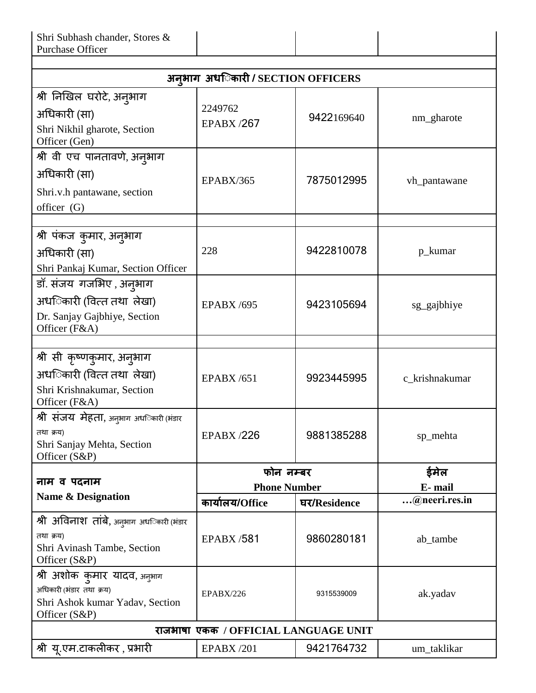| अनृभाग अध <b>िकारी / SECTION OFFICERS</b><br>श्री निखिल घरोटे, अनुभाग<br>2249762<br>अधिकारी (सा)<br>9422169640<br>nm_gharote<br><b>EPABX/267</b><br>Shri Nikhil gharote, Section<br>Officer (Gen)<br>श्री वी एच पानतावणे, अनुभाग<br>अधिकारी (सा)<br>7875012995<br>EPABX/365<br>vh_pantawane<br>Shri.v.h pantawane, section<br>officer (G)<br>श्री पंकज कुमार, अनुभाग<br>9422810078<br>228<br>p_kumar<br>अधिकारी (सा)<br>Shri Pankaj Kumar, Section Officer<br>डॉ. संजय गजभिए , अनुभाग<br>अधििकारी (वित्त तथा) लेखा)<br>9423105694<br><b>EPABX /695</b><br>sg_gajbhiye<br>Dr. Sanjay Gajbhiye, Section<br>Officer (F&A)<br>श्री सी कृष्णकुमार, अनुभाग<br>अध <b>िकारी (वित्त तथा</b> लेखा)<br><b>EPABX /651</b><br>9923445995<br>c_krishnakumar<br>Shri Krishnakumar, Section<br>Officer (F&A)<br>श्री संजय मेहता, अनुभाग अध <b>िकारी</b> (भंडार<br>तथा क्रय)<br>9881385288<br><b>EPABX /226</b><br>sp_mehta<br>Shri Sanjay Mehta, Section<br>Officer (S&P)<br>ईमेल<br>फोन नम्बर<br>नाम व पदनाम<br>E-mail<br><b>Phone Number</b><br><b>Name &amp; Designation</b><br>@neeri.res.in<br>कार्यालय/Office<br>घर/Residence<br>श्री अविनाश तांबे, अनुभाग अध <b>िकारी</b> (भंडार<br>तथा क्रय)<br>9860280181<br><b>EPABX /581</b><br>ab_tambe<br>Shri Avinash Tambe, Section<br>Officer (S&P)<br>श्री अशोक कुमार यादव, अनुभाग<br>अधिकारी (भंडार तथा क्रय)<br>EPABX/226<br>9315539009<br>ak.yadav<br>Shri Ashok kumar Yadav, Section<br>Officer (S&P)<br>राजभाषा एकक / OFFICIAL LANGUAGE UNIT | Shri Subhash chander, Stores &<br><b>Purchase Officer</b> |  |  |  |
|------------------------------------------------------------------------------------------------------------------------------------------------------------------------------------------------------------------------------------------------------------------------------------------------------------------------------------------------------------------------------------------------------------------------------------------------------------------------------------------------------------------------------------------------------------------------------------------------------------------------------------------------------------------------------------------------------------------------------------------------------------------------------------------------------------------------------------------------------------------------------------------------------------------------------------------------------------------------------------------------------------------------------------------------------------------------------------------------------------------------------------------------------------------------------------------------------------------------------------------------------------------------------------------------------------------------------------------------------------------------------------------------------------------------------------------------------------------------------------|-----------------------------------------------------------|--|--|--|
|                                                                                                                                                                                                                                                                                                                                                                                                                                                                                                                                                                                                                                                                                                                                                                                                                                                                                                                                                                                                                                                                                                                                                                                                                                                                                                                                                                                                                                                                                    |                                                           |  |  |  |
|                                                                                                                                                                                                                                                                                                                                                                                                                                                                                                                                                                                                                                                                                                                                                                                                                                                                                                                                                                                                                                                                                                                                                                                                                                                                                                                                                                                                                                                                                    |                                                           |  |  |  |
|                                                                                                                                                                                                                                                                                                                                                                                                                                                                                                                                                                                                                                                                                                                                                                                                                                                                                                                                                                                                                                                                                                                                                                                                                                                                                                                                                                                                                                                                                    |                                                           |  |  |  |
|                                                                                                                                                                                                                                                                                                                                                                                                                                                                                                                                                                                                                                                                                                                                                                                                                                                                                                                                                                                                                                                                                                                                                                                                                                                                                                                                                                                                                                                                                    |                                                           |  |  |  |
|                                                                                                                                                                                                                                                                                                                                                                                                                                                                                                                                                                                                                                                                                                                                                                                                                                                                                                                                                                                                                                                                                                                                                                                                                                                                                                                                                                                                                                                                                    |                                                           |  |  |  |
|                                                                                                                                                                                                                                                                                                                                                                                                                                                                                                                                                                                                                                                                                                                                                                                                                                                                                                                                                                                                                                                                                                                                                                                                                                                                                                                                                                                                                                                                                    |                                                           |  |  |  |
|                                                                                                                                                                                                                                                                                                                                                                                                                                                                                                                                                                                                                                                                                                                                                                                                                                                                                                                                                                                                                                                                                                                                                                                                                                                                                                                                                                                                                                                                                    |                                                           |  |  |  |
|                                                                                                                                                                                                                                                                                                                                                                                                                                                                                                                                                                                                                                                                                                                                                                                                                                                                                                                                                                                                                                                                                                                                                                                                                                                                                                                                                                                                                                                                                    |                                                           |  |  |  |
|                                                                                                                                                                                                                                                                                                                                                                                                                                                                                                                                                                                                                                                                                                                                                                                                                                                                                                                                                                                                                                                                                                                                                                                                                                                                                                                                                                                                                                                                                    |                                                           |  |  |  |
|                                                                                                                                                                                                                                                                                                                                                                                                                                                                                                                                                                                                                                                                                                                                                                                                                                                                                                                                                                                                                                                                                                                                                                                                                                                                                                                                                                                                                                                                                    |                                                           |  |  |  |
|                                                                                                                                                                                                                                                                                                                                                                                                                                                                                                                                                                                                                                                                                                                                                                                                                                                                                                                                                                                                                                                                                                                                                                                                                                                                                                                                                                                                                                                                                    |                                                           |  |  |  |
|                                                                                                                                                                                                                                                                                                                                                                                                                                                                                                                                                                                                                                                                                                                                                                                                                                                                                                                                                                                                                                                                                                                                                                                                                                                                                                                                                                                                                                                                                    |                                                           |  |  |  |
|                                                                                                                                                                                                                                                                                                                                                                                                                                                                                                                                                                                                                                                                                                                                                                                                                                                                                                                                                                                                                                                                                                                                                                                                                                                                                                                                                                                                                                                                                    |                                                           |  |  |  |
|                                                                                                                                                                                                                                                                                                                                                                                                                                                                                                                                                                                                                                                                                                                                                                                                                                                                                                                                                                                                                                                                                                                                                                                                                                                                                                                                                                                                                                                                                    |                                                           |  |  |  |
|                                                                                                                                                                                                                                                                                                                                                                                                                                                                                                                                                                                                                                                                                                                                                                                                                                                                                                                                                                                                                                                                                                                                                                                                                                                                                                                                                                                                                                                                                    |                                                           |  |  |  |
|                                                                                                                                                                                                                                                                                                                                                                                                                                                                                                                                                                                                                                                                                                                                                                                                                                                                                                                                                                                                                                                                                                                                                                                                                                                                                                                                                                                                                                                                                    |                                                           |  |  |  |
|                                                                                                                                                                                                                                                                                                                                                                                                                                                                                                                                                                                                                                                                                                                                                                                                                                                                                                                                                                                                                                                                                                                                                                                                                                                                                                                                                                                                                                                                                    |                                                           |  |  |  |
|                                                                                                                                                                                                                                                                                                                                                                                                                                                                                                                                                                                                                                                                                                                                                                                                                                                                                                                                                                                                                                                                                                                                                                                                                                                                                                                                                                                                                                                                                    |                                                           |  |  |  |
|                                                                                                                                                                                                                                                                                                                                                                                                                                                                                                                                                                                                                                                                                                                                                                                                                                                                                                                                                                                                                                                                                                                                                                                                                                                                                                                                                                                                                                                                                    |                                                           |  |  |  |
|                                                                                                                                                                                                                                                                                                                                                                                                                                                                                                                                                                                                                                                                                                                                                                                                                                                                                                                                                                                                                                                                                                                                                                                                                                                                                                                                                                                                                                                                                    |                                                           |  |  |  |
|                                                                                                                                                                                                                                                                                                                                                                                                                                                                                                                                                                                                                                                                                                                                                                                                                                                                                                                                                                                                                                                                                                                                                                                                                                                                                                                                                                                                                                                                                    |                                                           |  |  |  |
|                                                                                                                                                                                                                                                                                                                                                                                                                                                                                                                                                                                                                                                                                                                                                                                                                                                                                                                                                                                                                                                                                                                                                                                                                                                                                                                                                                                                                                                                                    |                                                           |  |  |  |
|                                                                                                                                                                                                                                                                                                                                                                                                                                                                                                                                                                                                                                                                                                                                                                                                                                                                                                                                                                                                                                                                                                                                                                                                                                                                                                                                                                                                                                                                                    |                                                           |  |  |  |
|                                                                                                                                                                                                                                                                                                                                                                                                                                                                                                                                                                                                                                                                                                                                                                                                                                                                                                                                                                                                                                                                                                                                                                                                                                                                                                                                                                                                                                                                                    |                                                           |  |  |  |
|                                                                                                                                                                                                                                                                                                                                                                                                                                                                                                                                                                                                                                                                                                                                                                                                                                                                                                                                                                                                                                                                                                                                                                                                                                                                                                                                                                                                                                                                                    |                                                           |  |  |  |
|                                                                                                                                                                                                                                                                                                                                                                                                                                                                                                                                                                                                                                                                                                                                                                                                                                                                                                                                                                                                                                                                                                                                                                                                                                                                                                                                                                                                                                                                                    |                                                           |  |  |  |
|                                                                                                                                                                                                                                                                                                                                                                                                                                                                                                                                                                                                                                                                                                                                                                                                                                                                                                                                                                                                                                                                                                                                                                                                                                                                                                                                                                                                                                                                                    |                                                           |  |  |  |
|                                                                                                                                                                                                                                                                                                                                                                                                                                                                                                                                                                                                                                                                                                                                                                                                                                                                                                                                                                                                                                                                                                                                                                                                                                                                                                                                                                                                                                                                                    |                                                           |  |  |  |
|                                                                                                                                                                                                                                                                                                                                                                                                                                                                                                                                                                                                                                                                                                                                                                                                                                                                                                                                                                                                                                                                                                                                                                                                                                                                                                                                                                                                                                                                                    |                                                           |  |  |  |
|                                                                                                                                                                                                                                                                                                                                                                                                                                                                                                                                                                                                                                                                                                                                                                                                                                                                                                                                                                                                                                                                                                                                                                                                                                                                                                                                                                                                                                                                                    |                                                           |  |  |  |
|                                                                                                                                                                                                                                                                                                                                                                                                                                                                                                                                                                                                                                                                                                                                                                                                                                                                                                                                                                                                                                                                                                                                                                                                                                                                                                                                                                                                                                                                                    |                                                           |  |  |  |
|                                                                                                                                                                                                                                                                                                                                                                                                                                                                                                                                                                                                                                                                                                                                                                                                                                                                                                                                                                                                                                                                                                                                                                                                                                                                                                                                                                                                                                                                                    |                                                           |  |  |  |
|                                                                                                                                                                                                                                                                                                                                                                                                                                                                                                                                                                                                                                                                                                                                                                                                                                                                                                                                                                                                                                                                                                                                                                                                                                                                                                                                                                                                                                                                                    |                                                           |  |  |  |
|                                                                                                                                                                                                                                                                                                                                                                                                                                                                                                                                                                                                                                                                                                                                                                                                                                                                                                                                                                                                                                                                                                                                                                                                                                                                                                                                                                                                                                                                                    |                                                           |  |  |  |
|                                                                                                                                                                                                                                                                                                                                                                                                                                                                                                                                                                                                                                                                                                                                                                                                                                                                                                                                                                                                                                                                                                                                                                                                                                                                                                                                                                                                                                                                                    |                                                           |  |  |  |
|                                                                                                                                                                                                                                                                                                                                                                                                                                                                                                                                                                                                                                                                                                                                                                                                                                                                                                                                                                                                                                                                                                                                                                                                                                                                                                                                                                                                                                                                                    |                                                           |  |  |  |
| 9421764732<br><b>EPABX /201</b><br>um_taklikar                                                                                                                                                                                                                                                                                                                                                                                                                                                                                                                                                                                                                                                                                                                                                                                                                                                                                                                                                                                                                                                                                                                                                                                                                                                                                                                                                                                                                                     | श्री यू.एम.टाकलीकर , प्रभारी                              |  |  |  |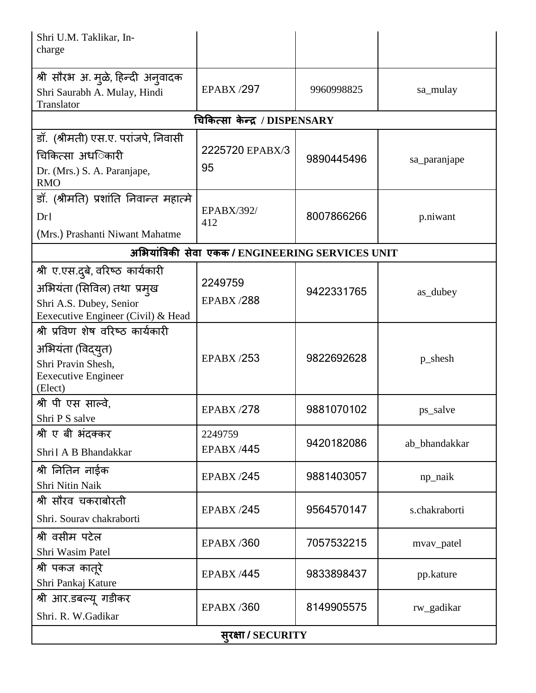| Shri U.M. Taklikar, In-<br>charge                                                                                                |                                                   |            |               |
|----------------------------------------------------------------------------------------------------------------------------------|---------------------------------------------------|------------|---------------|
| श्री सौरभ अ. मुळे, हिन्दी अनुवादक<br>Shri Saurabh A. Mulay, Hindi<br>Translator                                                  | <b>EPABX/297</b>                                  | 9960998825 | sa_mulay      |
|                                                                                                                                  | चिकित्सा केन्द्र / DISPENSARY                     |            |               |
| डॉ. (श्रीमती) एस.ए. परांजपे, निवासी<br>चिकित्सा अध <b>िकारी</b><br>Dr. (Mrs.) S. A. Paranjape,<br><b>RMO</b>                     | 2225720 EPABX/3<br>95                             | 9890445496 | sa_paranjape  |
| डॉ. (श्रीमति) प्रशांति निवान्त महात्मे<br>Dr <sub>l</sub><br>(Mrs.) Prashanti Niwant Mahatme                                     | <b>EPABX/392/</b><br>412                          | 8007866266 | p.niwant      |
|                                                                                                                                  | अभियांत्रिकी सेवा एकक / ENGINEERING SERVICES UNIT |            |               |
| श्री ए.एस.दुबे, वरिष्ठ कार्यकारी<br>अभियंता (सिविल) तथा  प्रमुख<br>Shri A.S. Dubey, Senior<br>Eexecutive Engineer (Civil) & Head | 2249759<br><b>EPABX/288</b>                       | 9422331765 | as_dubey      |
| श्री प्रविण शेष वरिष्ठ कार्यकारी<br>अभियंता (विद्युत)<br>Shri Pravin Shesh,<br><b>Eexecutive Engineer</b><br>(Elect)             | <b>EPABX /253</b>                                 | 9822692628 | p_shesh       |
| श्री पी एस साल्वे,<br>Shri P S salve                                                                                             | <b>EPABX /278</b>                                 | 9881070102 | ps_salve      |
| श्री ए बी भंदक्कर<br>Shri   A B Bhandakkar                                                                                       | 2249759<br><b>EPABX /445</b>                      | 9420182086 | ab_bhandakkar |
| श्री नितिन नाईक<br>Shri Nitin Naik                                                                                               | <b>EPABX /245</b>                                 | 9881403057 | np_naik       |
| श्री सौरव चकराबोरती<br>Shri. Sourav chakraborti                                                                                  | <b>EPABX /245</b>                                 | 9564570147 | s.chakraborti |
| श्री वसीम पटेल<br>Shri Wasim Patel                                                                                               | <b>EPABX/360</b>                                  | 7057532215 | mvav_patel    |
| श्री पकज कातूरे<br>Shri Pankaj Kature                                                                                            | <b>EPABX /445</b>                                 | 9833898437 | pp.kature     |
| श्री आर.डबल्यू गडीकर<br>Shri. R. W.Gadikar                                                                                       | <b>EPABX/360</b>                                  | 8149905575 | rw_gadikar    |
| सूरक्षा / SECURITY                                                                                                               |                                                   |            |               |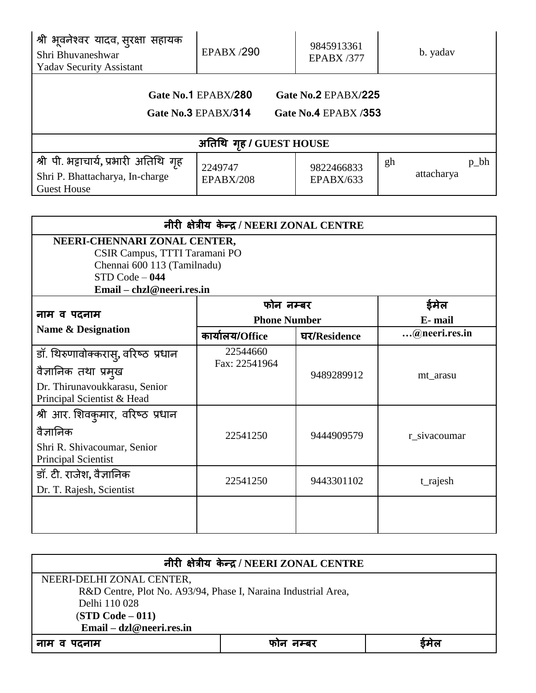| श्री भूवनेश्वर यादव, सुरक्षा सहायक<br>Shri Bhuvaneshwar<br><b>Yadav Security Assistant</b>      | <b>EPABX/290</b>                           | 9845913361<br><b>EPABX /377</b>             | b. yadav                    |
|-------------------------------------------------------------------------------------------------|--------------------------------------------|---------------------------------------------|-----------------------------|
|                                                                                                 | Gate No.1 EPABX/280<br>Gate No.3 EPABX/314 | Gate No.2 EPABX/225<br>Gate No.4 EPABX /353 |                             |
|                                                                                                 | अतिथि गृह / GUEST HOUSE                    |                                             |                             |
| श्री पी. भट्टाचार्य, प्रभारी अतिथि गृह<br>Shri P. Bhattacharya, In-charge<br><b>Guest House</b> | 2249747<br>EPABX/208                       | 9822466833<br>EPABX/633                     | $p_{h}$<br>gh<br>attacharya |

| नीरी क्षेत्रीय केन्द्र / NEERI ZONAL CENTRE                                                                                                   |                           |              |                |
|-----------------------------------------------------------------------------------------------------------------------------------------------|---------------------------|--------------|----------------|
| NEERI-CHENNARI ZONAL CENTER,<br>CSIR Campus, TTTI Taramani PO<br>Chennai 600 113 (Tamilnadu)<br>$STD Code - 044$<br>Email – chzl@neeri.res.in |                           |              |                |
| फोन नम्बर<br>नाम व पदनाम<br><b>Phone Number</b>                                                                                               |                           |              | ईमेल<br>E-mail |
| <b>Name &amp; Designation</b>                                                                                                                 | कार्यालय/Office           | घर/Residence | @neeri.res.in  |
| डॉ. थिरुणावोक्करास्, वरिष्ठ प्रधान<br>वैज्ञानिक तथा प्रमुख<br>Dr. Thirunavoukkarasu, Senior<br>Principal Scientist & Head                     | 22544660<br>Fax: 22541964 | 9489289912   | mt_arasu       |
| श्री आर. शिवकुमार, वरिष्ठ प्रधान<br>वैज्ञानिक<br>Shri R. Shivacoumar, Senior<br><b>Principal Scientist</b>                                    | 22541250                  | 9444909579   | r sivacoumar   |
| डॉ. टी. राजेश, वैज्ञानिक<br>Dr. T. Rajesh, Scientist                                                                                          | 22541250                  | 9443301102   | t_rajesh       |
|                                                                                                                                               |                           |              |                |

| नीरी क्षेत्रीय केन्द्र / NEERI ZONAL CENTRE                    |  |  |  |
|----------------------------------------------------------------|--|--|--|
| NEERI-DELHI ZONAL CENTER,                                      |  |  |  |
| R&D Centre, Plot No. A93/94, Phase I, Naraina Industrial Area, |  |  |  |
| Delhi 110 028                                                  |  |  |  |
| $(STD Code - 011)$                                             |  |  |  |
| Email – dzl@neeri.res.in                                       |  |  |  |
| ईमेल<br>नाम व पदनाम<br>फान नम्बर                               |  |  |  |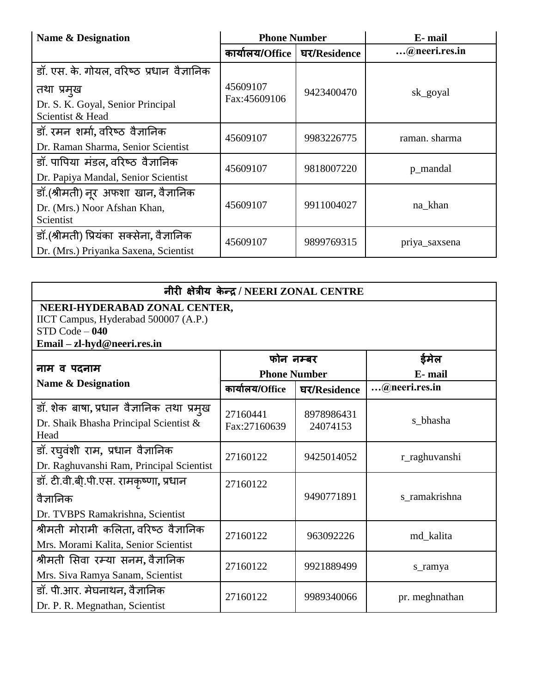| <b>Name &amp; Designation</b>             | <b>Phone Number</b> |              | E- mail       |
|-------------------------------------------|---------------------|--------------|---------------|
|                                           | कार्यालय/Office ।   | घर/Residence | @neeri.res.in |
| डॉ. एस. के. गोयल, वरिष्ठ प्रधान वैज्ञानिक |                     |              |               |
| तथा प्रमुख                                | 45609107            | 9423400470   | sk_goyal      |
| Dr. S. K. Goyal, Senior Principal         | Fax:45609106        |              |               |
| Scientist & Head                          |                     |              |               |
| डॉ. रमन शर्मा, वरिष्ठ वैज्ञानिक           | 45609107            | 9983226775   | raman. sharma |
| Dr. Raman Sharma, Senior Scientist        |                     |              |               |
| डॉ. पापिया मंडल, वरिष्ठ वैज्ञानिक         | 45609107            | 9818007220   | p_mandal      |
| Dr. Papiya Mandal, Senior Scientist       |                     |              |               |
| डॉ.(श्रीमती) नूर अफशा खान, वैज्ञानिक      |                     |              |               |
| Dr. (Mrs.) Noor Afshan Khan,              | 45609107            | 9911004027   | na khan       |
| Scientist                                 |                     |              |               |
| डॉ.(श्रीमती) प्रियंका सक्सेना, वैज्ञानिक  | 45609107            | 9899769315   | priya_saxsena |
| Dr. (Mrs.) Priyanka Saxena, Scientist     |                     |              |               |

# **नीरी क्षेिीय के न्द्र** / **NEERI ZONAL CENTRE**

# **I. NEERI-HYDERABAD ZONAL CENTER,**

IICT Campus, Hyderabad 500007 (A.P.) STD Code – **040 Email – zl-hyd@neeri.res.in**

|                                                | फोन नम्बर           |              | ईमेल           |
|------------------------------------------------|---------------------|--------------|----------------|
| नाम व पदनाम                                    | <b>Phone Number</b> |              | E-mail         |
| <b>Name &amp; Designation</b>                  | कार्यालय/Office     | घर/Residence | @neeri.res.in  |
| डॉ. शेक बाषा, प्रधान वैज्ञानिक तथा प्रमुख      | 27160441            | 8978986431   |                |
| Dr. Shaik Bhasha Principal Scientist &<br>Head | Fax:27160639        | 24074153     | s_bhasha       |
|                                                |                     |              |                |
| डॉ. रघुवंशी राम, प्रधान वैज्ञानिक              | 27160122            | 9425014052   | r_raghuvanshi  |
| Dr. Raghuvanshi Ram, Principal Scientist       |                     |              |                |
| डॉ. टी.वी.बी.पी.एस. रामकृष्णा, प्रधान          | 27160122            |              |                |
| वैज्ञानिक                                      |                     | 9490771891   | s_ramakrishna  |
| Dr. TVBPS Ramakrishna, Scientist               |                     |              |                |
| श्रीमती मोरामी कलिता, वरिष्ठ वैज्ञानिक         | 27160122            | 963092226    | md_kalita      |
| Mrs. Morami Kalita, Senior Scientist           |                     |              |                |
| श्रीमती सिवा रम्या सनम,वैज्ञानिक               | 27160122            | 9921889499   | s_ramya        |
| Mrs. Siva Ramya Sanam, Scientist               |                     |              |                |
| डॉ. पी.आर. मेघनाथन, वैज्ञानिक                  | 27160122            | 9989340066   | pr. meghnathan |
| Dr. P. R. Megnathan, Scientist                 |                     |              |                |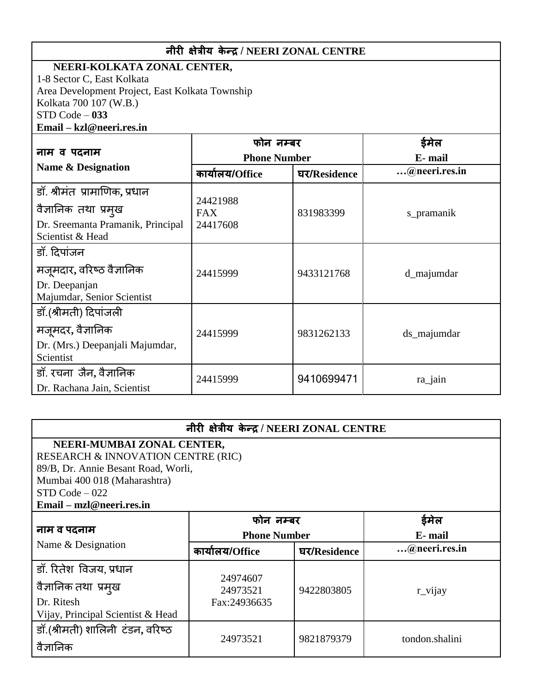# **नीरी क्षेिीय के न्द्र** / **NEERI ZONAL CENTRE**

#### **I. NEERI-KOLKATA ZONAL CENTER,**

1-8 Sector C, East Kolkata Area Development Project, East Kolkata Township Kolkata 700 107 (W.B.) STD Code – **033 Email – kzl@neeri.res.in**

| नाम व पदनाम                                                                                                    | फोन नम्बर<br><b>Phone Number</b>   |              | E-mail        |
|----------------------------------------------------------------------------------------------------------------|------------------------------------|--------------|---------------|
| Name & Designation                                                                                             | कार्यालय/Office                    | घर/Residence | @neeri.res.in |
| डॉ. श्रीमंत प्रामाणिक, प्रधान<br>वैज्ञानिक तथा प्रमुख<br>Dr. Sreemanta Pramanik, Principal<br>Scientist & Head | 24421988<br><b>FAX</b><br>24417608 | 831983399    | s_pramanik    |
| डॉ. दिपांजन<br>मजूमदार, वरिष्ठ वैज्ञानिक<br>Dr. Deepanjan<br>Majumdar, Senior Scientist                        | 24415999                           | 9433121768   | d_majumdar    |
| डॉ.(श्रीमती) दिपांजली<br>मजूमदर, वैज्ञानिक<br>Dr. (Mrs.) Deepanjali Majumdar,<br>Scientist                     | 24415999                           | 9831262133   | ds_majumdar   |
| डॉ. रचना जैन, वैज्ञानिक<br>Dr. Rachana Jain, Scientist                                                         | 24415999                           | 9410699471   | ra_jain       |

|                                               | नीरी क्षेत्रीय केन्द्र / NEERI ZONAL CENTRE |              |                |
|-----------------------------------------------|---------------------------------------------|--------------|----------------|
| NEERI-MUMBAI ZONAL CENTER,                    |                                             |              |                |
| <b>RESEARCH &amp; INNOVATION CENTRE (RIC)</b> |                                             |              |                |
| 89/B, Dr. Annie Besant Road, Worli,           |                                             |              |                |
| Mumbai 400 018 (Maharashtra)                  |                                             |              |                |
| $STD Code - 022$                              |                                             |              |                |
| Email – mzl@neeri.res.in                      |                                             |              |                |
|                                               | फोन नम्बर                                   |              | ईमेल           |
| नाम व पदनाम                                   | <b>Phone Number</b>                         | E-mail       |                |
| Name & Designation                            | कार्यालय/Office                             | घर/Residence | @neeri.res.in  |
| डॉ. रितेश विजय, प्रधान                        |                                             |              |                |
|                                               | 24974607                                    |              |                |
| वैज्ञानिक तथा प्रमुख                          | 24973521                                    | 9422803805   | r_vijay        |
| Dr. Ritesh                                    | Fax:24936635                                |              |                |
| Vijay, Principal Scientist & Head             |                                             |              |                |
| डॉ.(श्रीमती) शालिनी टंडन, वरिष्ठ              |                                             |              |                |
| वैज्ञानिक                                     | 24973521                                    | 9821879379   | tondon.shalini |